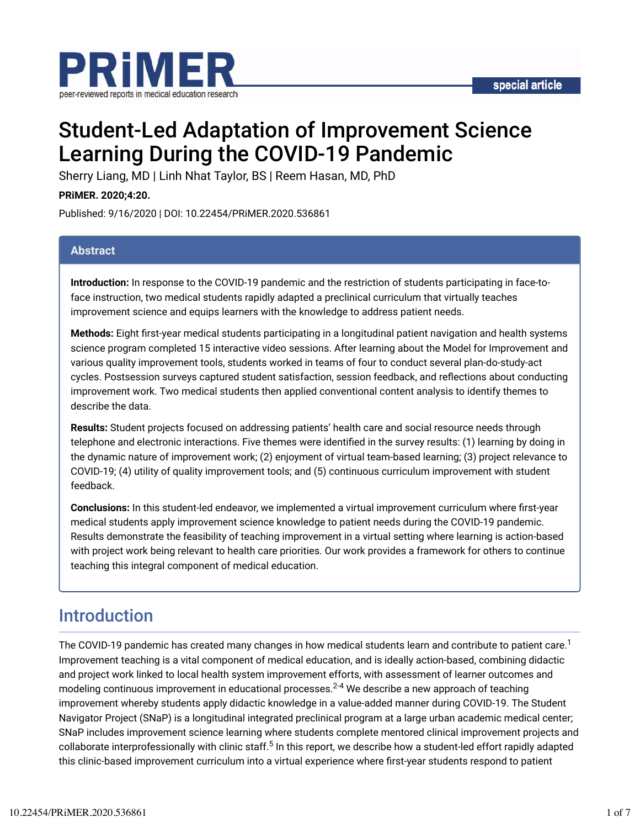



# Student-Led Adaptation of Improvement Science Learning During the COVID-19 Pandemic

Sherry Liang, MD | Linh Nhat Taylor, BS | Reem Hasan, MD, PhD

**PRiMER. 2020;4:20.**

Published: 9/16/2020 | DOI: 10.22454/PRiMER.2020.536861

#### **Abstract**

**Introduction:** In response to the COVID-19 pandemic and the restriction of students participating in face-toface instruction, two medical students rapidly adapted a preclinical curriculum that virtually teaches improvement science and equips learners with the knowledge to address patient needs.

**Methods:** Eight first-year medical students participating in a longitudinal patient navigation and health systems science program completed 15 interactive video sessions. After learning about the Model for Improvement and various quality improvement tools, students worked in teams of four to conduct several plan-do-study-act cycles. Postsession surveys captured student satisfaction, session feedback, and reflections about conducting improvement work. Two medical students then applied conventional content analysis to identify themes to describe the data.

**Results:** Student projects focused on addressing patients' health care and social resource needs through telephone and electronic interactions. Five themes were identified in the survey results: (1) learning by doing in the dynamic nature of improvement work; (2) enjoyment of virtual team-based learning; (3) project relevance to COVID-19; (4) utility of quality improvement tools; and (5) continuous curriculum improvement with student feedback.

**Conclusions:** In this student-led endeavor, we implemented a virtual improvement curriculum where first-year medical students apply improvement science knowledge to patient needs during the COVID-19 pandemic. Results demonstrate the feasibility of teaching improvement in a virtual setting where learning is action-based with project work being relevant to health care priorities. Our work provides a framework for others to continue teaching this integral component of medical education.

# Introduction

The COVID-19 pandemic has created many changes in how medical students learn and contribute to patient care.<sup>1</sup> Improvement teaching is a vital component of medical education, and is ideally action-based, combining didactic and project work linked to local health system improvement efforts, with assessment of learner outcomes and modeling continuous improvement in educational processes. $^{2\text{-}4}$  We describe a new approach of teaching improvement whereby students apply didactic knowledge in a value-added manner during COVID-19. The Student Navigator Project (SNaP) is a longitudinal integrated preclinical program at a large urban academic medical center; SNaP includes improvement science learning where students complete mentored clinical improvement projects and collaborate interprofessionally with clinic staff.<sup>5</sup> In this report, we describe how a student-led effort rapidly adapted this clinic-based improvement curriculum into a virtual experience where first-year students respond to patient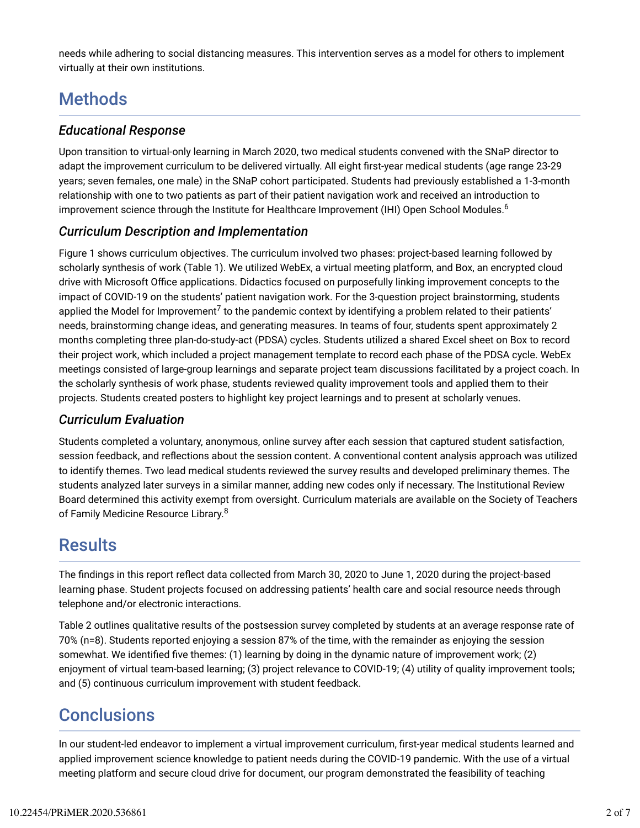needs while adhering to social distancing measures. This intervention serves as a model for others to implement virtually at their own institutions.

# **Methods**

### *Educational Response*

Upon transition to virtual-only learning in March 2020, two medical students convened with the SNaP director to adapt the improvement curriculum to be delivered virtually. All eight first-year medical students (age range 23-29 years; seven females, one male) in the SNaP cohort participated. Students had previously established a 1-3-month relationship with one to two patients as part of their patient navigation work and received an introduction to improvement science through the Institute for Healthcare Improvement (IHI) Open School Modules. 6

## *Curriculum Description and Implementation*

Figure 1 shows curriculum objectives. The curriculum involved two phases: project-based learning followed by scholarly synthesis of work (Table 1). We utilized WebEx, a virtual meeting platform, and Box, an encrypted cloud drive with Microsoft Office applications. Didactics focused on purposefully linking improvement concepts to the impact of COVID-19 on the students' patient navigation work. For the 3-question project brainstorming, students applied the Model for Improvement<sup>7</sup> to the pandemic context by identifying a problem related to their patients' needs, brainstorming change ideas, and generating measures. In teams of four, students spent approximately 2 months completing three plan-do-study-act (PDSA) cycles. Students utilized a shared Excel sheet on Box to record their project work, which included a project management template to record each phase of the PDSA cycle. WebEx meetings consisted of large-group learnings and separate project team discussions facilitated by a project coach. In the scholarly synthesis of work phase, students reviewed quality improvement tools and applied them to their projects. Students created posters to highlight key project learnings and to present at scholarly venues.

### *Curriculum Evaluation*

Students completed a voluntary, anonymous, online survey after each session that captured student satisfaction, session feedback, and reflections about the session content. A conventional content analysis approach was utilized to identify themes. Two lead medical students reviewed the survey results and developed preliminary themes. The students analyzed later surveys in a similar manner, adding new codes only if necessary. The Institutional Review Board determined this activity exempt from oversight. Curriculum materials are available on the Society of Teachers of Family Medicine Resource Library.<sup>8</sup>

## **Results**

The findings in this report reflect data collected from March 30, 2020 to June 1, 2020 during the project-based learning phase. Student projects focused on addressing patients' health care and social resource needs through telephone and/or electronic interactions.

Table 2 outlines qualitative results of the postsession survey completed by students at an average response rate of 70% (n=8). Students reported enjoying a session 87% of the time, with the remainder as enjoying the session somewhat. We identified five themes: (1) learning by doing in the dynamic nature of improvement work; (2) enjoyment of virtual team-based learning; (3) project relevance to COVID-19; (4) utility of quality improvement tools; and (5) continuous curriculum improvement with student feedback.

# **Conclusions**

In our student-led endeavor to implement a virtual improvement curriculum, first-year medical students learned and applied improvement science knowledge to patient needs during the COVID-19 pandemic. With the use of a virtual meeting platform and secure cloud drive for document, our program demonstrated the feasibility of teaching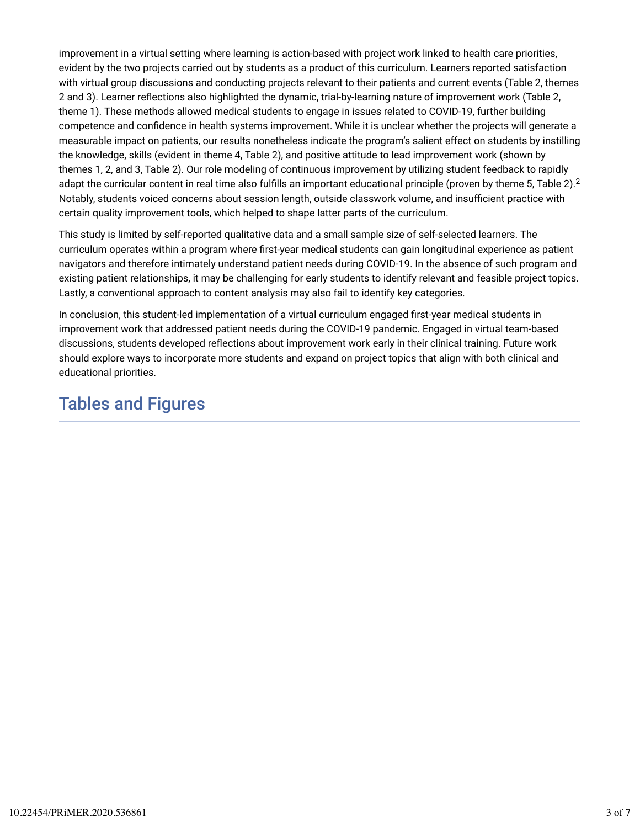improvement in a virtual setting where learning is action-based with project work linked to health care priorities, evident by the two projects carried out by students as a product of this curriculum. Learners reported satisfaction with virtual group discussions and conducting projects relevant to their patients and current events (Table 2, themes 2 and 3). Learner reflections also highlighted the dynamic, trial-by-learning nature of improvement work (Table 2, theme 1). These methods allowed medical students to engage in issues related to COVID-19, further building competence and confidence in health systems improvement. While it is unclear whether the projects will generate a measurable impact on patients, our results nonetheless indicate the program's salient effect on students by instilling the knowledge, skills (evident in theme 4, Table 2), and positive attitude to lead improvement work (shown by themes 1, 2, and 3, Table 2). Our role modeling of continuous improvement by utilizing student feedback to rapidly adapt the curricular content in real time also fulfills an important educational principle (proven by theme 5, Table 2). $^2$ Notably, students voiced concerns about session length, outside classwork volume, and insufficient practice with certain quality improvement tools, which helped to shape latter parts of the curriculum.

This study is limited by self-reported qualitative data and a small sample size of self-selected learners. The curriculum operates within a program where first-year medical students can gain longitudinal experience as patient navigators and therefore intimately understand patient needs during COVID-19. In the absence of such program and existing patient relationships, it may be challenging for early students to identify relevant and feasible project topics. Lastly, a conventional approach to content analysis may also fail to identify key categories.

In conclusion, this student-led implementation of a virtual curriculum engaged first-year medical students in improvement work that addressed patient needs during the COVID-19 pandemic. Engaged in virtual team-based discussions, students developed reflections about improvement work early in their clinical training. Future work should explore ways to incorporate more students and expand on project topics that align with both clinical and educational priorities.

## Tables and Figures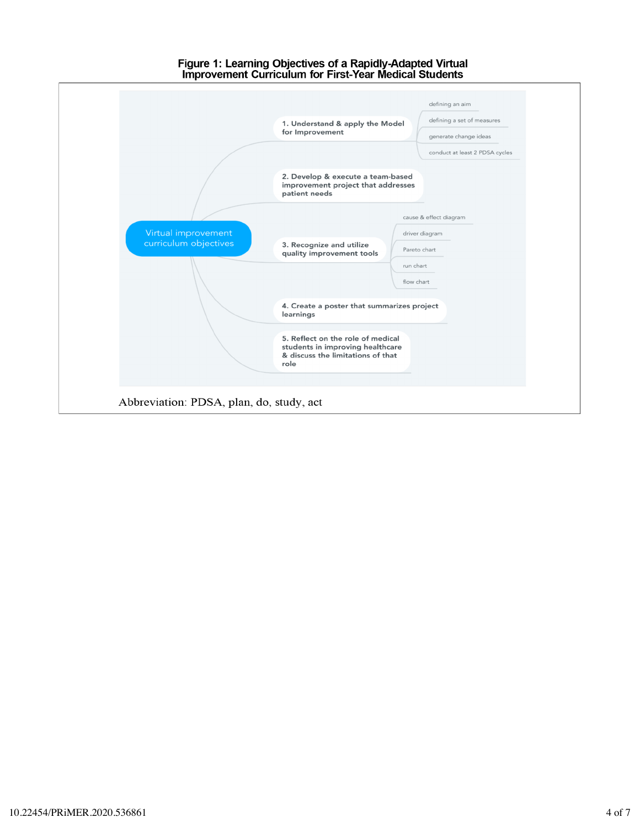# Figure 1: Learning Objectives of a Rapidly-Adapted Virtual<br>Improvement Curriculum for First-Year Medical Students

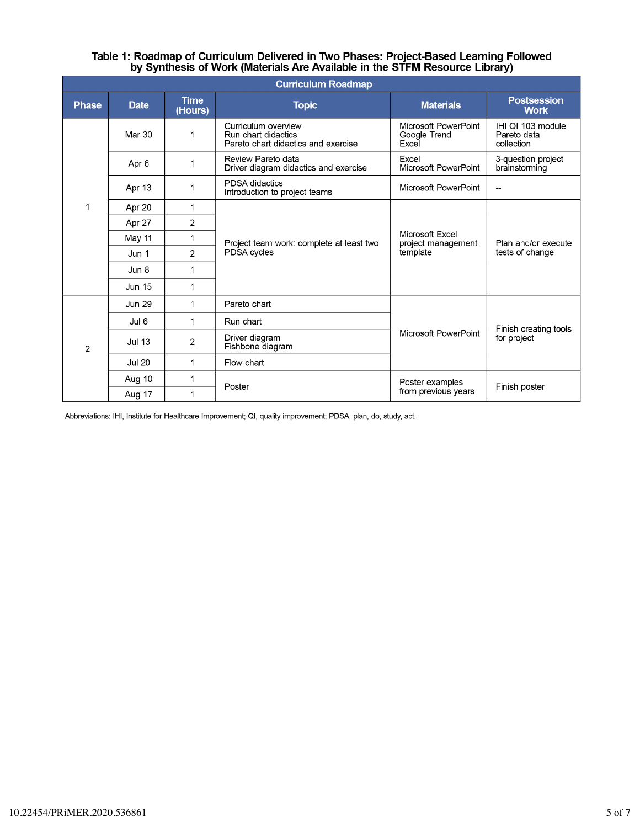# Table 1: Roadmap of Curriculum Delivered in Two Phases: Project-Based Learning Followed<br>by Synthesis of Work (Materials Are Available in the STFM Resource Library)

| <b>Curriculum Roadmap</b> |               |                        |                                                                                   |                                                   |                                                |  |
|---------------------------|---------------|------------------------|-----------------------------------------------------------------------------------|---------------------------------------------------|------------------------------------------------|--|
| <b>Phase</b>              | <b>Date</b>   | <b>Time</b><br>(Hours) | <b>Topic</b>                                                                      | <b>Materials</b>                                  | <b>Postsession</b><br><b>Work</b>              |  |
|                           | Mar 30        | $\mathbf 1$            | Curriculum overview<br>Run chart didactics<br>Pareto chart didactics and exercise | Microsoft PowerPoint<br>Google Trend<br>Excel     | IHI QI 103 module<br>Pareto data<br>collection |  |
|                           | Apr 6         | 1                      | Review Pareto data<br>Driver diagram didactics and exercise                       | Excel<br>Microsoft PowerPoint                     | 3-question project<br>brainstorming            |  |
|                           | Apr 13        | 1                      | <b>PDSA</b> didactics<br>Introduction to project teams                            | Microsoft PowerPoint                              |                                                |  |
| 1                         | Apr 20        | $\mathbf{1}$           | Project team work: complete at least two<br>PDSA cycles                           | Microsoft Excel<br>project management<br>template | Plan and/or execute<br>tests of change         |  |
|                           | Apr 27        | $\overline{2}$         |                                                                                   |                                                   |                                                |  |
|                           | May 11        | $\mathbf{1}$           |                                                                                   |                                                   |                                                |  |
|                           | Jun 1         | 2                      |                                                                                   |                                                   |                                                |  |
|                           | Jun 8         | 1                      |                                                                                   |                                                   |                                                |  |
|                           | <b>Jun 15</b> | 1                      |                                                                                   |                                                   |                                                |  |
| $\overline{2}$            | <b>Jun 29</b> | 1                      | Pareto chart                                                                      | Microsoft PowerPoint                              | Finish creating tools<br>for project           |  |
|                           | Jul 6         | 1                      | Run chart                                                                         |                                                   |                                                |  |
|                           | <b>Jul 13</b> | $\overline{2}$         | Driver diagram<br>Fishbone diagram                                                |                                                   |                                                |  |
|                           | <b>Jul 20</b> | 1                      | Flow chart                                                                        |                                                   |                                                |  |
|                           | Aug 10        | 1                      | Poster                                                                            | Poster examples<br>from previous years            | Finish poster                                  |  |
|                           | Aug 17        | 1                      |                                                                                   |                                                   |                                                |  |

Abbreviations: IHI, Institute for Healthcare Improvement; QI, quality improvement; PDSA, plan, do, study, act.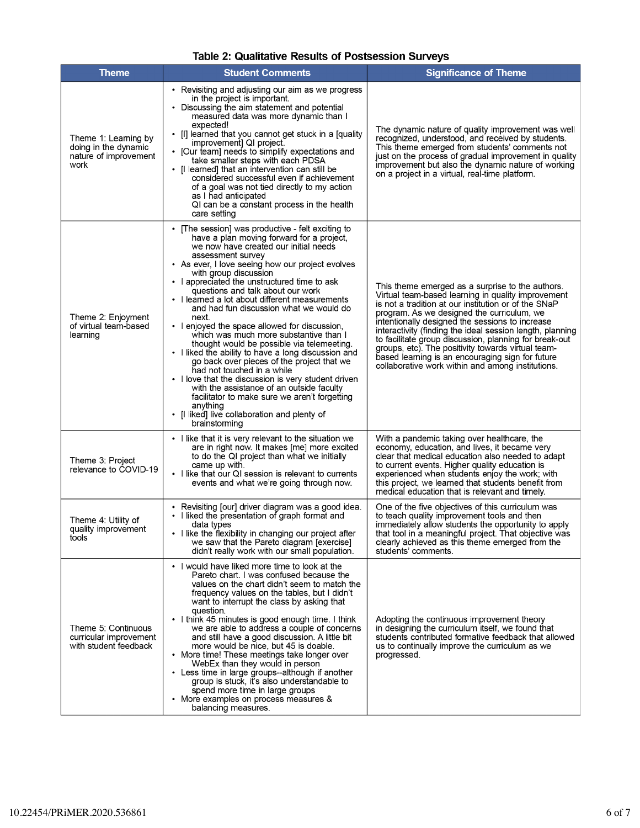| <b>Theme</b>                                                                  | <b>Student Comments</b>                                                                                                                                                                                                                                                                                                                                                                                                                                                                                                                                                                                                                                                                                                                                                                                                                                                                                                                         | <b>Significance of Theme</b>                                                                                                                                                                                                                                                                                                                                                                                                                                                                                                                          |
|-------------------------------------------------------------------------------|-------------------------------------------------------------------------------------------------------------------------------------------------------------------------------------------------------------------------------------------------------------------------------------------------------------------------------------------------------------------------------------------------------------------------------------------------------------------------------------------------------------------------------------------------------------------------------------------------------------------------------------------------------------------------------------------------------------------------------------------------------------------------------------------------------------------------------------------------------------------------------------------------------------------------------------------------|-------------------------------------------------------------------------------------------------------------------------------------------------------------------------------------------------------------------------------------------------------------------------------------------------------------------------------------------------------------------------------------------------------------------------------------------------------------------------------------------------------------------------------------------------------|
| Theme 1: Learning by<br>doing in the dynamic<br>nature of improvement<br>work | • Revisiting and adjusting our aim as we progress<br>in the project is important.<br>• Discussing the aim statement and potential<br>measured data was more dynamic than I<br>expected!<br>• [I] learned that you cannot get stuck in a [quality<br>improvement] QI project.<br>[Our team] needs to simplify expectations and<br>take smaller steps with each PDSA<br>• [I learned] that an intervention can still be<br>considered successful even if achievement<br>of a goal was not tied directly to my action<br>as I had anticipated<br>QI can be a constant process in the health<br>care setting                                                                                                                                                                                                                                                                                                                                        | The dynamic nature of quality improvement was well<br>recognized, understood, and received by students.<br>This theme emerged from students' comments not<br>just on the process of gradual improvement in quality<br>improvement but also the dynamic nature of working<br>on a project in a virtual, real-time platform.                                                                                                                                                                                                                            |
| Theme 2. Enjoyment<br>of virtual team-based<br>learning                       | • The session] was productive - felt exciting to<br>have a plan moving forward for a project,<br>we now have created our initial needs<br>assessment survey<br>• As ever, I love seeing how our project evolves<br>with group discussion<br>• I appreciated the unstructured time to ask<br>questions and talk about our work<br>• I learned a lot about different measurements<br>and had fun discussion what we would do<br>next.<br>• I enjoyed the space allowed for discussion,<br>which was much more substantive than I<br>thought would be possible via telemeeting.<br>• I liked the ability to have a long discussion and<br>go back over pieces of the project that we<br>had not touched in a while<br>• I love that the discussion is very student driven<br>with the assistance of an outside faculty<br>facilitator to make sure we aren't forgetting<br>anything<br>[I liked] live collaboration and plenty of<br>brainstorming | This theme emerged as a surprise to the authors.<br>Virtual team-based learning in quality improvement<br>is not a tradition at our institution or of the SNaP<br>program. As we designed the curriculum, we<br>intentionally designed the sessions to increase<br>interactivity (finding the ideal session length, planning<br>to facilitate group discussion, planning for break-out<br>groups, etc). The positivity towards virtual team-<br>based learning is an encouraging sign for future<br>collaborative work within and among institutions. |
| Theme 3: Project<br>relevance to COVID-19                                     | • I like that it is very relevant to the situation we<br>are in right now. It makes [me] more excited<br>to do the QI project than what we initially<br>came up with.<br>• I like that our QI session is relevant to currents<br>events and what we're going through now.                                                                                                                                                                                                                                                                                                                                                                                                                                                                                                                                                                                                                                                                       | With a pandemic taking over healthcare, the<br>economy, education, and lives, it became very<br>clear that medical education also needed to adapt<br>to current events. Higher quality education is<br>experienced when students enjoy the work; with<br>this project, we learned that students benefit from<br>medical education that is relevant and timely.                                                                                                                                                                                        |
| Theme 4: Utility of<br>quality improvement<br>tools                           | • Revisiting [our] driver diagram was a good idea.<br>• I liked the presentation of graph format and<br>data types<br>I like the flexibility in changing our project after<br>we saw that the Pareto diagram [exercise]<br>didn't really work with our small population.                                                                                                                                                                                                                                                                                                                                                                                                                                                                                                                                                                                                                                                                        | One of the five objectives of this curriculum was<br>to teach quality improvement tools and then<br>immediately allow students the opportunity to apply<br>that tool in a meaningful project. That objective was<br>clearly achieved as this theme emerged from the<br>students' comments.                                                                                                                                                                                                                                                            |
| Theme 5: Continuous<br>curricular improvement<br>with student feedback        | • I would have liked more time to look at the<br>Pareto chart. I was confused because the<br>values on the chart didn't seem to match the<br>frequency values on the tables, but I didn't<br>want to interrupt the class by asking that<br>question.<br>• I think 45 minutes is good enough time. I think<br>we are able to address a couple of concerns<br>and still have a good discussion. A little bit<br>more would be nice, but 45 is doable.<br>• More time! These meetings take longer over<br>WebEx than they would in person<br>• Less time in large groups--although if another<br>group is stuck, it's also understandable to<br>spend more time in large groups<br>• More examples on process measures &<br>balancing measures.                                                                                                                                                                                                    | Adopting the continuous improvement theory<br>in designing the curriculum itself, we found that<br>students contributed formative feedback that allowed<br>us to continually improve the curriculum as we<br>progressed.                                                                                                                                                                                                                                                                                                                              |

#### Table 2: Qualitative Results of Postsession Surveys